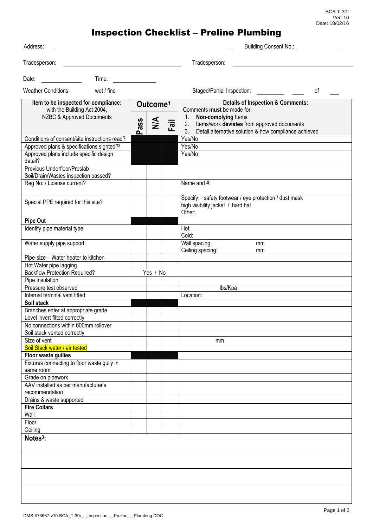BCA T-30r Ver: 10 Date: 18/02/16

## Inspection Checklist – Preline Plumbing

| Address:                                                                                                   |          |                      |      | Building Consent No.:                                                                                                                                                    |
|------------------------------------------------------------------------------------------------------------|----------|----------------------|------|--------------------------------------------------------------------------------------------------------------------------------------------------------------------------|
| Tradesperson:                                                                                              |          |                      |      | Tradesperson:                                                                                                                                                            |
| Date:<br>Time:                                                                                             |          |                      |      |                                                                                                                                                                          |
| <b>Weather Conditions:</b><br>wet / fine                                                                   |          |                      |      | Staged/Partial Inspection:<br>οf                                                                                                                                         |
| Item to be inspected for compliance:                                                                       |          | Outcome <sup>1</sup> |      | <b>Details of Inspection &amp; Comments:</b>                                                                                                                             |
| with the Building Act 2004,<br>NZBC & Approved Documents                                                   | ass<br>൨ | $\frac{4}{2}$        | Fail | Comments must be made for:<br>Non-complying Items<br>1.<br>2. Items/work deviates from approved documents<br>Detail alternative solution & how compliance achieved<br>3. |
| Conditions of consent/site instructions read?                                                              |          |                      |      | Yes/No                                                                                                                                                                   |
| Approved plans & specifications sighted? <sup>2</sup><br>Approved plans include specific design<br>detail? |          |                      |      | Yes/No<br>Yes/No                                                                                                                                                         |
| Previous Underfloor/Preslab -<br>Soil/Drain/Wastes inspection passed?                                      |          |                      |      |                                                                                                                                                                          |
| Reg No: / License current?                                                                                 |          |                      |      | Name and #:                                                                                                                                                              |
| Special PPE required for this site?                                                                        |          |                      |      | Specify: safety footwear / eye protection / dust mask<br>high visibility jacket / hard hat<br>Other:                                                                     |
| Pipe Out                                                                                                   |          |                      |      |                                                                                                                                                                          |
| Identify pipe material type:                                                                               |          |                      |      | Hot:<br>Cold:                                                                                                                                                            |
| Water supply pipe support:                                                                                 |          |                      |      | Wall spacing:<br>mm<br>Ceiling spacing:<br>mm                                                                                                                            |
| Pipe-size - Water heater to kitchen                                                                        |          |                      |      |                                                                                                                                                                          |
| Hot Water pipe lagging                                                                                     |          |                      |      |                                                                                                                                                                          |
| <b>Backflow Protection Required?</b>                                                                       |          | Yes / No             |      |                                                                                                                                                                          |
| Pipe Insulation                                                                                            |          |                      |      |                                                                                                                                                                          |
| Pressure test observed                                                                                     |          |                      |      | lbs/Kpa                                                                                                                                                                  |
| Internal terminal vent fitted                                                                              |          |                      |      | Location:                                                                                                                                                                |
| Soil stack<br>Branches enter at appropriate grade                                                          |          |                      |      |                                                                                                                                                                          |
| Level invert fitted correctly                                                                              |          |                      |      |                                                                                                                                                                          |
| No connections within 600mm rollover                                                                       |          |                      |      |                                                                                                                                                                          |
| Soil stack vented correctly                                                                                |          |                      |      |                                                                                                                                                                          |
| Size of vent                                                                                               |          |                      |      | mm                                                                                                                                                                       |
| Soil Stack water / air tested                                                                              |          |                      |      |                                                                                                                                                                          |
| Floor waste gullies                                                                                        |          |                      |      |                                                                                                                                                                          |
| Fixtures connecting to floor waste gully in                                                                |          |                      |      |                                                                                                                                                                          |
| same room                                                                                                  |          |                      |      |                                                                                                                                                                          |
| Grade on pipework<br>AAV installed as per manufacturer's                                                   |          |                      |      |                                                                                                                                                                          |
| recommendation<br>Drains & waste supported                                                                 |          |                      |      |                                                                                                                                                                          |
| <b>Fire Collars</b>                                                                                        |          |                      |      |                                                                                                                                                                          |
| Wall                                                                                                       |          |                      |      |                                                                                                                                                                          |
| Floor                                                                                                      |          |                      |      |                                                                                                                                                                          |
| Ceiling                                                                                                    |          |                      |      |                                                                                                                                                                          |
| Notes <sup>3</sup> :                                                                                       |          |                      |      |                                                                                                                                                                          |
|                                                                                                            |          |                      |      |                                                                                                                                                                          |
|                                                                                                            |          |                      |      |                                                                                                                                                                          |
|                                                                                                            |          |                      |      |                                                                                                                                                                          |
|                                                                                                            |          |                      |      |                                                                                                                                                                          |